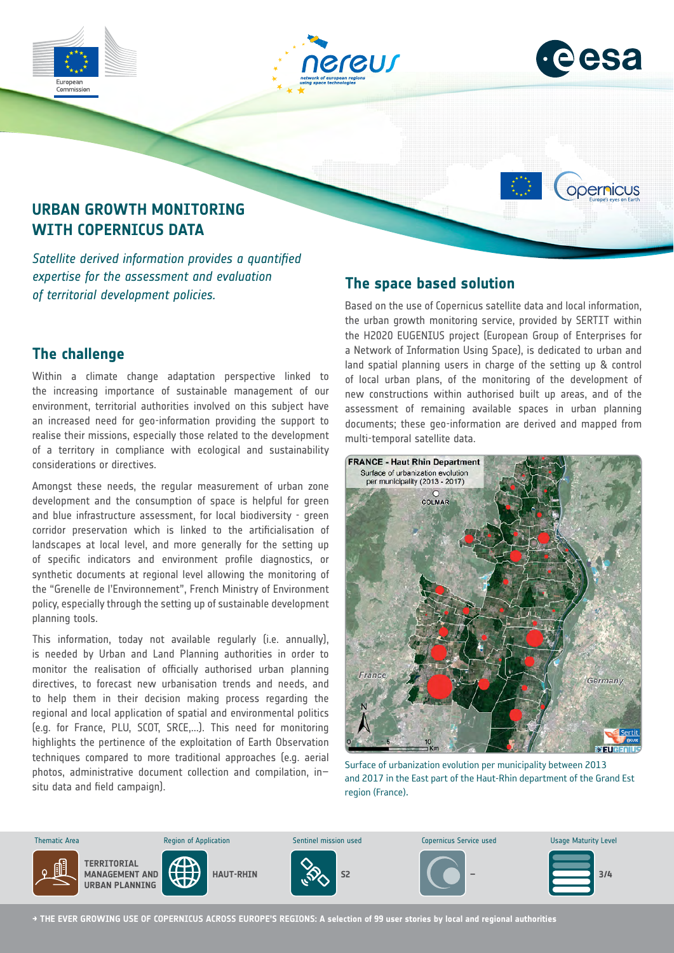





## **URBAN GROWTH MONITORING WITH COPERNICUS DATA**

*Satellite derived information provides a quantified expertise for the assessment and evaluation of territorial development policies.*

### **The challenge**

Commission

Within a climate change adaptation perspective linked to the increasing importance of sustainable management of our environment, territorial authorities involved on this subject have an increased need for geo-information providing the support to realise their missions, especially those related to the development of a territory in compliance with ecological and sustainability considerations or directives.

Amongst these needs, the regular measurement of urban zone development and the consumption of space is helpful for green and blue infrastructure assessment, for local biodiversity - green corridor preservation which is linked to the artificialisation of landscapes at local level, and more generally for the setting up of specific indicators and environment profile diagnostics, or synthetic documents at regional level allowing the monitoring of the "Grenelle de l'Environnement", French Ministry of Environment policy, especially through the setting up of sustainable development planning tools.

This information, today not available regularly (i.e. annually), is needed by Urban and Land Planning authorities in order to monitor the realisation of officially authorised urban planning directives, to forecast new urbanisation trends and needs, and to help them in their decision making process regarding the regional and local application of spatial and environmental politics (e.g. for France, PLU, SCOT, SRCE,...). This need for monitoring highlights the pertinence of the exploitation of Earth Observation techniques compared to more traditional approaches (e.g. aerial photos, administrative document collection and compilation, in– situ data and field campaign).

## **The space based solution**

Based on the use of Copernicus satellite data and local information, the urban growth monitoring service, provided by SERTIT within the H2020 EUGENIUS project (European Group of Enterprises for a Network of Information Using Space), is dedicated to urban and land spatial planning users in charge of the setting up & control of local urban plans, of the monitoring of the development of new constructions within authorised built up areas, and of the assessment of remaining available spaces in urban planning documents; these geo-information are derived and mapped from multi-temporal satellite data.



Surface of urbanization evolution per municipality between 2013 and 2017 in the East part of the Haut-Rhin department of the Grand Est region (France).



**→ THE EVER GROWING USE OF COPERNICUS ACROSS EUROPE'S REGIONS: A selection of 99 user stories by local and regional authorities**